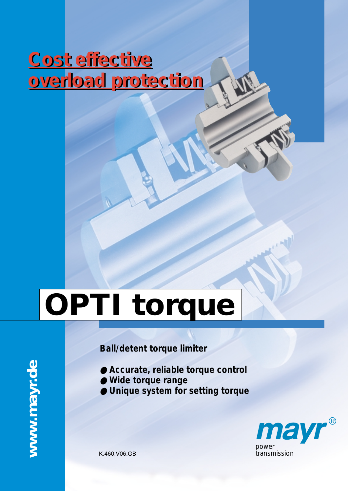# **Cost effective Cost effective overload protection overload protection**

# **OPTI torque**

# *Ball/detent torque limiter*

- *Accurate, reliable torque control*
- *Wide torque range*
- *Unique system for setting torque*



K.460.V06.GB

www.mayr.de **www.mayr.de**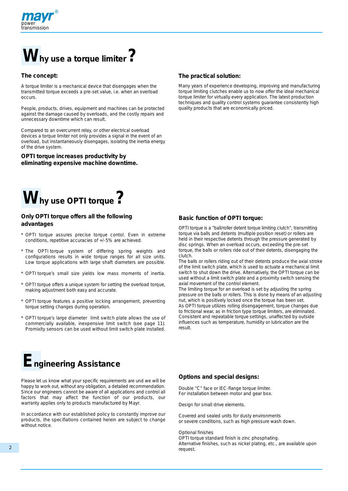

# **Why use a torque limiter?**

#### **The concept:**

A torque limiter is a mechanical device that disengages when the transmitted torque exceeds a pre-set value, i.e. when an overload occurs.

People, products, drives, equipment and machines can be protected against the damage caused by overloads, and the costly repairs and unnecessary downtime which can result.

Compared to an overcurrent relay, or other electrical overload devices a torque limiter not only provides a signal in the event of an overload, but instantaneously disengages, isolating the inertia energy of the drive system.

**OPTI torque increases productivity by eliminating expensive machine downtime.**

#### **The practical solution:**

Many years of experience developing, improving and manufacturing torque limiting clutches enable us to now offer the ideal mechanical torque limiter for virtually every application. The latest production techniques and quality control systems guarantee consistently high quality products that are economically priced.



#### **Only OPTI torque offers all the following advantages**

- \* OPTI torque assures precise torque contol. Even in extreme conditions, repetitive accuracies of +/-5% are achieved.
- \* The OPTI torque system of differing spring weights and configurations results in wide torque ranges for all size units. Low torque applications with large shaft diameters are possible.
- \* OPTI torque's small size yields low mass moments of inertia.
- \* OPTI torque offers a unique system for setting the overload torque, making adjustment both easy and accurate.
- OPTI torque features a positive locking arrangement, preventing torque setting changes during operation.
- OPTI torque's large diameter limit switch plate allows the use of commercially available, inexpensive limit switch (see page 11). Promixity sensors can be used without limit switch plate installed.

# **Engineering Assistance**

Please let us know what your specific requirements are und we will be happy to work out, without any obligation, a detailed recommendation. Since our engineers cannot be aware of all applications and control all factors that may affect the function of our products, our warranty applies only to products manufactured by Mayr.

In accordance with our established policy to constantly improve our products, the specifiations contained herein are subject to change without notice.

#### **Basic function of OPTI torque:**

OPTI torque is a "ball/roller detent torque limiting clutch", transmitting torque via balls and detents (multiple position reset) or rollers are held in their respective detents through the pressure generated by disc springs. When an overload occurs, exceeding the pre-set torque, the balls or rollers ride out of their detents, disengaging the clutch.

The balls or rollers riding out of their detents produce the axial stroke of the limit switch plate, which is used to actuate a mechanical limit switch to shut down the drive. Alternatively, the OPTI torque can be used without a limit switch plate and a proximity switch sensing the axial movement of the control element.

The limiting torque for an overload is set by adjusting the spring pressure on the balls or rollers. This is done by means of an adjusting nut, which is positively locked once the torque has been set. As OPTI torque utilizes rolling disengagement, torque changes due to frictional wear, as in friction type torque limiters, are eliminated. Consistent and repeatable torque settings, unaffected by outside influences such as temperature, humidity or lubrication are the result.

#### **Options and special designs:**

Double "C" face or IEC-flange torque limiter. For installation between motor and gear box.

Design for small drive elements.

Covered and sealed units for dusty environments or severe conditions, such as high pressure wash down.

#### Optional finishes

OPTI torque standard finish is zinc phosphating. Alternative finishes, such as nickel plating, etc., are available upon request.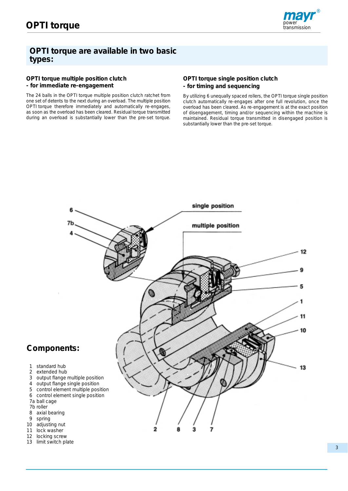

#### **OPTI torque are available in two basic types:**

#### **OPTI torque multiple position clutch - for immediate re-engagement**

The 24 balls in the OPTI torque multiple position clutch ratchet from one set of detents to the next during an overload. The multiple position OPTI torque therefore immediately and automatically re-engages, as soon as the overload has been cleared. Residual torque transmitted during an overload is substantially lower than the pre-set torque.

#### **OPTI torque single position clutch - for timing and sequencing**

By utilizing 6 unequally spaced rollers, the OPTI torque single position clutch automatically re-engages after one full revolution, once the overload has been cleared. As re-engagement is at the exact position of disengagement, timing and/or sequencing within the machine is maintained. Residual torque transmitted in disengaged position is substantially lower than the pre-set torque.



13 limit switch plate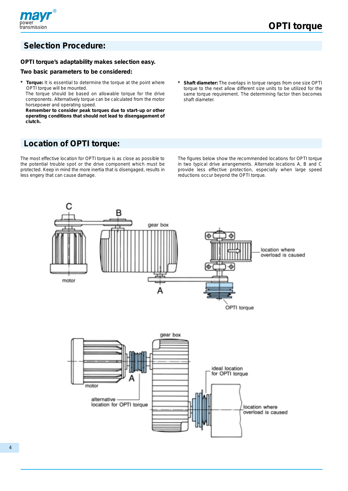

### **Selection Procedure:**

#### **OPTI torque's adaptability makes selection easy.**

#### **Two basic parameters to be considered:**

Torque: It is essential to determine the torque at the point where OPTI torque will be mounted.

The torque should be based on allowable torque for the drive components. Alternatively torque can be calculated from the motor horsepower and operating speed.

**Remember to consider peak torques due to start-up or other operating conditions that should not lead to disengagement of clutch.**

Shaft diameter: The overlaps in torque ranges from one size OPTI torque to the next allow different size units to be utilized for the same torque requirement. The determining factor then becomes shaft diameter.

## **Location of OPTI torque:**

The most effective location for OPTI torque is as close as possible to the potential trouble spot or the drive component which must be protected. Keep in mind the more inertia that is disengaged, results in less engery that can cause damage.

The figures below show the recommended locations for OPTI torque in two typical drive arrangements. Alternate locations A, B and C provide less effective protection, especially when large speed reductions occur beyond the OPTI torque.

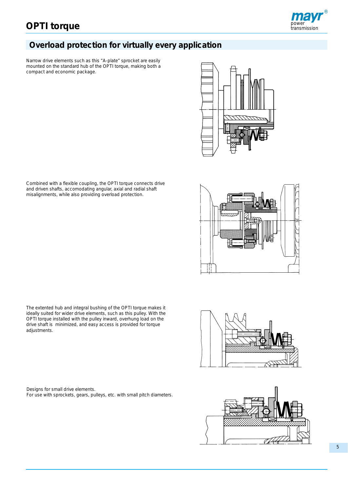# *power* **OPTI torque** *transmission*



# **Overload protection for virtually every application**

Narrow drive elements such as this "A-plate" sprocket are easily mounted on the standard hub of the OPTI torque, making both a compact and economic package.



Combined with a flexible coupling, the OPTI torque connects drive and driven shafts, accomodating angular, axial and radial shaft misalignments, while also providing overload protection.



The extented hub and integral bushing of the OPTI torque makes it ideally suited for wider drive elements, such as this pulley. With the OPTI torque installed with the pulley inward, overhung load on the drive shaft is minimized, and easy access is provided for torque adjustments.

Designs for small drive elements. For use with sprockets, gears, pulleys, etc. with small pitch diameters.



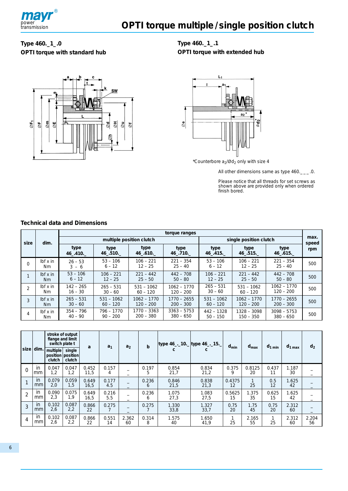

#### **Type 460.\_1\_.0 OPTI torque with standard hub**



**Type 460.\_1\_.1 OPTI torque with extended hub**



\*Counterbore  $a_2/\text{\O}d_2$  only with size 4

All other dimensions same as type  $460$ .

Please notice that all threads for set screws as shown above are provided only when ordered finish bored.

#### **Technical data and Dimensions**

|               |                          | torque ranges            |                            |                              |                              |                            |                            |                              |               |  |  |  |  |  |
|---------------|--------------------------|--------------------------|----------------------------|------------------------------|------------------------------|----------------------------|----------------------------|------------------------------|---------------|--|--|--|--|--|
| size          | dim.                     |                          |                            | multiple position clutch     |                              |                            | single position clutch     |                              | max.<br>speed |  |  |  |  |  |
|               |                          | type<br>46 .410.         | type<br>46 .510.           | type<br>46 .610.             | type<br>46 .710.             | type<br>46 .415.           | type<br>46 .515.           | type<br>46 .615.             | rpm           |  |  |  |  |  |
| $\Omega$      | $I\flat$ in<br>Nm.       | $26 - 53$<br>$3 - 6$     | $53 - 106$<br>$6 - 12$     | $106 - 221$<br>$12 - 25$     | $221 - 354$<br>$25 - 40$     | $53 - 106$<br>$6 - 12$     | $106 - 221$<br>$12 - 25$   | $221 - 354$<br>$25 - 40$     | 500           |  |  |  |  |  |
|               | $I\!bf{b}$ f x in<br>Nm. | $53 - 106$<br>$6 - 12$   | $106 - 221$<br>$12 - 25$   | $221 - 442$<br>$25 - 50$     | $442 - 708$<br>$50 - 80$     | $106 - 221$<br>$12 - 25$   | $221 - 442$<br>$25 - 50$   | $442 - 708$<br>$50 - 80$     | 500           |  |  |  |  |  |
| $\mathcal{P}$ | $Ibf x$ in<br>Nm.        | $142 - 265$<br>$16 - 30$ | $265 - 531$<br>$30 - 60$   | $531 - 1062$<br>$60 - 120$   | $1062 - 1770$<br>$120 - 200$ | $265 - 531$<br>$30 - 60$   | $531 - 1062$<br>$60 - 120$ | 1062 - 1770<br>$120 - 200$   | 500           |  |  |  |  |  |
| 3             | $I$ bf x in<br>Nm.       | $265 - 531$<br>$30 - 60$ | $531 - 1062$<br>$60 - 120$ | $1062 - 1770$<br>$120 - 200$ | $1770 - 2655$<br>$200 - 300$ | $531 - 1062$<br>$60 - 120$ | 1062 - 1770<br>$120 - 200$ | $1770 - 2655$<br>$200 - 300$ | 500           |  |  |  |  |  |
| 4             | $I\flat$ in<br>Nm.       | $354 - 796$<br>$40 - 90$ | 796 - 1770<br>$90 - 200$   | 1770 – 3363<br>$200 - 380$   | $3363 - 5753$<br>$380 - 650$ | $442 - 1328$<br>$50 - 150$ | 1328 – 3098<br>$150 - 350$ | $3098 - 5753$<br>$380 - 650$ | 500           |  |  |  |  |  |

|                |                 | flange and limit<br>switch plate t      | stroke of output | a             | a <sub>1</sub> | a <sub>2</sub> | $\mathbf b$ | type 46_._10._ type 46_._15._ |               | $d_{\text{min}}$ | $d_{\text{max}}$   | $d_{1 min}$ | $d_{1 max}$ | d <sub>2</sub> |
|----------------|-----------------|-----------------------------------------|------------------|---------------|----------------|----------------|-------------|-------------------------------|---------------|------------------|--------------------|-------------|-------------|----------------|
|                | $size$ dim.     | multiple<br>position position<br>clutch | single<br>clutch |               |                |                |             |                               |               |                  |                    |             |             |                |
| $\Omega$       | in<br>mm        | 0.047<br>1,2                            | 0.047<br>1,2     | 0.452<br>11.5 | 0.157<br>4     |                | 0.197<br>5  | 0.854<br>21,7                 | 0.834<br>21,2 | 0.375<br>9       | 0.8125<br>20       | 0.437<br>11 | 1.187<br>30 |                |
|                | in<br>mm        | 0.079<br>2,0                            | 0.059<br>1,5     | 0.649<br>16,5 | 0.177<br>4.5   |                | 0.236<br>6  | 0.846<br>21,5                 | 0.838<br>21,3 | 0.4375<br>12     | $\mathbf{1}$<br>25 | 0.5<br>12   | 1.625<br>42 |                |
| $\overline{2}$ | in<br>mm        | 0.090<br>2.3                            | 0.075<br>1,9     | 0.649<br>16,5 | 0.216<br>5.5   |                | 0.236<br>6  | 1.075<br>27,3                 | 1.083<br>27,5 | 0.5625<br>15     | 1.375<br>35        | 0.625<br>15 | .625<br>42  |                |
| 3              | in<br>mm        | 0.102<br>2,6                            | 0.087<br>2,2     | 0.866<br>22   | 0.275          |                | 0.275       | 1.330<br>33,8                 | 1.327<br>33,7 | 0.75<br>20       | 1.75<br>45         | 0.75<br>20  | 2.312<br>60 |                |
| 4              | <i>in</i><br>mm | 0.102<br>2,6                            | 0.087<br>2,2     | 0.866<br>22   | 0.551<br>14    | 2.362<br>60    | 0.314<br>8  | 1.575<br>40                   | 1.650<br>41,9 | 25               | 2.165<br>55        | 25          | 2.312<br>60 | 2.204<br>56    |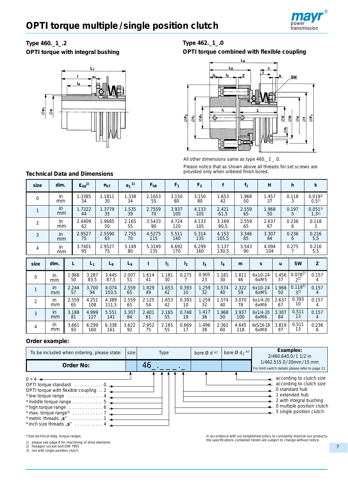

#### **Type 460.\_1\_.2**

**OPTI torque with integral bushing**



#### **Type 462.\_1\_.0 OPTI torque combined with flexible coupling**



All other dimensions same as type 460.\_ 1 \_ .0.

Please notice that as shown above all threads for set screws are provided only when ordered finish bored.

**Technical Data and Dimensions**

| size           | dim.            |    |             | $E_{h8}$ <sup>1)</sup> | e <sub>h7</sub> | $e_1$ <sup>1)</sup> | $F_{h8}$      |                | F <sub>1</sub> | F <sub>2</sub> | f              | $f_1$        | H                           |             | h                      | $\mathsf{k}$               |
|----------------|-----------------|----|-------------|------------------------|-----------------|---------------------|---------------|----------------|----------------|----------------|----------------|--------------|-----------------------------|-------------|------------------------|----------------------------|
| $\Omega$       | in<br>mm        |    |             | 1.3385<br>34           | 1.1811<br>30    | 1.338<br>34         | 2.1653<br>55  |                | 3.150<br>80    | 3.150<br>80    | 1.653<br>42    | 1.968<br>50  | 1.457<br>37                 |             | 0.118<br>3             | 0.0192<br>0,5 <sup>2</sup> |
|                | in<br>mm        |    |             | 1.7322<br>44           | 1.3779<br>35    | 1.535<br>39         | 2.7559<br>70  |                | 3.937<br>100   | 4.133<br>105   | 2.421<br>61,5  | 2.559<br>65  | 1.968<br>50                 |             | 0.197<br>5             | $0.051^{2}$<br>$1,3^{2}$   |
| 2              | in<br>mm        |    |             | 2.4409<br>62           | 1.9685<br>50    | 2.165<br>55         | 3.5433<br>90  |                | 4.724<br>120   | 4.133<br>105   | 3.169<br>80,5  | 2.559<br>65  | 2.637<br>67                 |             | 0.236<br>6             | 0.118<br>3                 |
| 3              | <i>in</i><br>mm |    |             | 2.9527<br>75           | 2.5590<br>65    | 2.755<br>70         | 4.5275<br>115 |                | 5.511<br>140   | 5.314<br>135   | 4.153<br>105,5 | 3.346<br>85  | 3.307<br>84                 |             | 0.236<br>6             | 0.216<br>5,5               |
| 4              | in<br>mm        |    | 3.7401      | 95                     | 2.9527<br>75    | 3.149<br>80         | 5.3149<br>135 |                | 6.692<br>170   | 6.299<br>160   | 5.137<br>130,5 | 3.543<br>90  | 4.094<br>104                |             | 0.275<br>7             | 0.216<br>5,5               |
|                |                 |    |             |                        |                 |                     |               |                |                |                |                |              |                             |             |                        |                            |
| size           | dim.            | L  |             | $L_1$                  | $L_8$           | L <sub>9</sub>      | L             | I <sub>1</sub> | I <sub>2</sub> | $I_3$          | $I_4$          | m            | S                           | u           | <b>SW</b>              | Z                          |
| $\mathbf 0$    | in.<br>mm       |    | 1.968<br>50 | 3.287<br>83,5          | 3.445<br>87,5   | 2.007<br>51         | 1.614<br>41   | 1.181<br>30    | 0.275<br>7     | 0.905<br>23    | 1.181<br>30    | 1.811<br>46  | 6x10-24<br>6xM <sub>5</sub> | 1.456<br>37 | $0.078^{2}$<br>$2^{2}$ | 0.157<br>4                 |
| $\mathbf{1}$   | <i>in</i><br>mm |    | 2.244<br>57 | 3.700<br>94            | 4.074<br>103,5  | 2.559<br>65         | 1.929<br>49   | 1.653<br>42    | 0.393<br>10    | 1.259<br>32    | 1.574<br>40    | 2.322<br>59  | 6x10-24<br>6xM5             | 1.968<br>50 | $0.118^{2}$<br>$3^{2}$ | 0.157<br>4                 |
| $\overline{2}$ | in.<br>mm       |    | 2.559<br>65 | 4.251<br>108           | 4.389<br>111,5  | 2.559<br>65         | 2.125<br>54   | 1.653<br>42    | 0.393<br>10    | 1.259<br>32    | 1.574<br>40    | 3.070<br>78  | $6x1/4-20$<br>6xM6          | 2.637<br>67 | 0.393<br>10            | 0.157<br>4                 |
| 3              | <i>in</i><br>mm | 81 | 3.188       | 4.999<br>127           | 5.551<br>141    | 3.307<br>84         | 2.401<br>61   | 2.165<br>55    | 0.748<br>19    | 1.417<br>36    | 1.968<br>50    | 3.937<br>100 | $6x1/4-20$<br>6xM6          | 3.307<br>84 | 0.511<br>13            | 0.157<br>$\overline{4}$    |

#### **Order example:**

| To be included when ordering, please state:                                                                                                                                                                                                                                                                             | <b>Type</b> | bore $Ø$ d $H7$ | bore $\varnothing$ d <sub>1</sub> <sup>H7</sup> | Examples:<br>2/460.640.0/1 1/2 in |                                                                                                                                                                                                                                      |
|-------------------------------------------------------------------------------------------------------------------------------------------------------------------------------------------------------------------------------------------------------------------------------------------------------------------------|-------------|-----------------|-------------------------------------------------|-----------------------------------|--------------------------------------------------------------------------------------------------------------------------------------------------------------------------------------------------------------------------------------|
| <b>Order No:</b>                                                                                                                                                                                                                                                                                                        |             | 46 -            |                                                 |                                   | 1/462.515.0/20mm/15 mm<br>For limit switch details please refer to page 11.                                                                                                                                                          |
| $0 \div 4 \rightarrow$<br>OPTI torque standard $\ldots \ldots \ldots 0$<br>OPTI torque with flexible coupling $\ldots$ 2<br>* low torque range $\dots\dots\dots\dots4$<br>* middle torque range $\dots \dots \dots \dots 5$<br>* high torque range $\dots\dots\dots\dots\dots$ 6<br>* max. torque range <sup>3)</sup> 7 |             |                 |                                                 |                                   | according to clutch size<br>$\leftarrow$ according to clutch size<br>$\sim$ 0 standard hub<br>$\perp$ 1 extended hub<br>$\leftarrow$ 2 with integral bushing<br>$\rightarrow$ 0 multiple position clutch<br>5 single position clutch |

\* See technical data, torque ranges

please see page 8 for machining of drive elements<br>hexagon socket bolt DIN 7991<br>not with cincle needs to the set in the set of the contract of the set of the set of the set of the set of the

2) hexagon socket bolt DIN 7991 3) not with single position clutch

In accordance with our established policy to constantly improve our products, the specifications contained herein are subject to change without notice.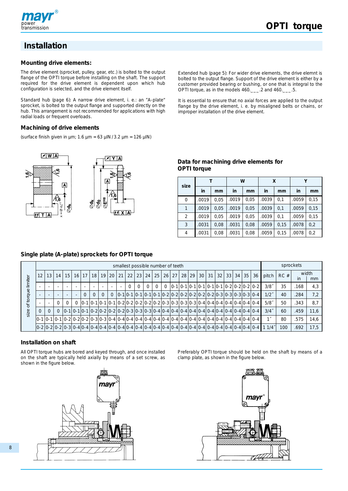

# **Installation**

#### **Mounting drive elements:**

The drive element (sprocket, pulley, gear, etc.) is bolted to the output flange of the OPTI torque before installing on the shaft. The support required for the drive element is dependent upon which hub configuration is selected, and the drive element itself.

Standard hub (page 6): A narrow drive element, i. e.: an "A-plate" sprocket, is bolted to the output flange and supported directly on the hub. This arrangement is not recommended for applications with high radial loads or frequent overloads.

#### **Machining of drive elements**

(surface finish given in  $\mu$ m; 1.6  $\mu$ m = 63  $\mu$ IN / 3.2  $\mu$ m = 126  $\mu$ IN)



Extended hub (page 5): For wider drive elements, the drive elemnt is bolted to the output flange. Support of the drive element is either by a customer provided bearing or bushing, or one that is integral to the OPTI torque, as in the models  $460$ . \_\_\_ $.2$  and  $460$ . \_\_ $.5$ .

It is essential to ensure that no axial forces are applied to the output flange by the drive element, i. e. by misaligned belts or chains, or improper installation of the drive element.

#### **Data for machining drive elements for OPTI torque**

| size         |       |      | W     |      | X     |      | γ     |      |  |
|--------------|-------|------|-------|------|-------|------|-------|------|--|
|              | in    | mm   | in    | mm   | in    | mm   | in    | mm   |  |
| 0            | .0019 | 0,05 | .0019 | 0,05 | .0039 | 0,1  | .0059 | 0,15 |  |
| $\mathbf{1}$ | .0019 | 0,05 | .0019 | 0,05 | .0039 | 0.1  | .0059 | 0.15 |  |
| 2            | .0019 | 0,05 | .0019 | 0,05 | .0039 | 0.1  | .0059 | 0.15 |  |
| 3            | .0031 | 0,08 | .0031 | 0,08 | .0059 | 0.15 | .0078 | 0,2  |  |
| 4            | .0031 | 0,08 | .0031 | 0,08 | .0059 | 0.15 | .0078 | 0,2  |  |

#### **Single plate (A-plate) sprockets for OPTI torque**

|        |                 |    |          |          |           |                 |          |    | smallest possible number of teeth |    |                 |    |          |                        |  |  |          |  |          |                                                                                    |                                 |     | sprockets |             |
|--------|-----------------|----|----------|----------|-----------|-----------------|----------|----|-----------------------------------|----|-----------------|----|----------|------------------------|--|--|----------|--|----------|------------------------------------------------------------------------------------|---------------------------------|-----|-----------|-------------|
| miter  | 12 <sub>1</sub> | 13 | 14       | 15       | $16$   17 | 18 <sup>1</sup> | 19       | 20 | 21                                | 22 | 23 <sup>1</sup> | 24 |          | 25   26   27   28   29 |  |  | 30 31 32 |  | 33 34 35 | 36                                                                                 | pitch                           | RC# | in        | width<br>mm |
| ≔      |                 |    |          |          |           |                 |          |    |                                   |    | $\Omega$        |    | $\Omega$ |                        |  |  |          |  |          | $ 0-1 0-1 0-1 0-1 0-1 0-2 0-2 0-2 0-2 $                                            | $3/8$ <sup><math>-</math></sup> | 35  | .168      | 4,3         |
| torque |                 |    |          |          | $\Omega$  | $\Omega$        | $\Omega$ |    |                                   |    |                 |    |          |                        |  |  |          |  |          |                                                                                    | $1/2^{r}$                       | 40  | .284      | 7,2         |
| ð      |                 |    | $\Omega$ | $\Omega$ |           |                 |          |    |                                   |    |                 |    |          |                        |  |  |          |  |          | $[0-1]0-1]0-1[0-1]0-2[0-2]0-2[0-2]0-2[0-3]0-3[0-3]0-3[0-4]0-4[0-4]0-4[0-4]0-4]0-4$ | $5/8$ <sup>*</sup>              | 50  | .343      | 8,7         |
| size   | $\Omega$        |    | $\Omega$ |          |           |                 |          |    |                                   |    |                 |    |          |                        |  |  |          |  |          |                                                                                    | $3/4$ <sup>*</sup>              | 60  | .459      | 11,6        |
|        |                 |    |          |          |           |                 |          |    |                                   |    |                 |    |          |                        |  |  |          |  |          |                                                                                    |                                 | 80  | .575      | 14,6        |
|        |                 |    |          |          |           |                 |          |    |                                   |    |                 |    |          |                        |  |  |          |  |          |                                                                                    |                                 | 100 | .692      | 17.5        |

#### **Installation on shaft**

All OPTI torque hubs are bored and keyed through, and once installed on the shaft are typically held axially by means of a set screw, as shown in the figure below.



Preferably OPTI torque should be held on the shaft by means of a clamp plate, as shown in the figure below.

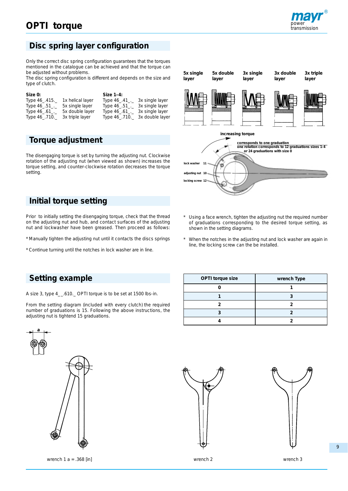# **OPTI torque**



### **Disc spring layer configuration**

Only the correct disc spring configuration guarantees that the torques mentioned in the catalogue can be achieved and that the torque can be adjusted without problems.

The disc spring configuration is different and depends on the size and type of clutch.

| Size 0:        |                  | Size 1-4:     |                 |
|----------------|------------------|---------------|-----------------|
| Type 46_.415.  | 1x helical layer | Type $46-.41$ | 3x single layer |
| Type 46_.51_._ | 5x single layer  | Type $46-.51$ | 3x single layer |
| Type 46_.61_._ | 5x double layer  | Type 46 .61.  | 3x single layer |
| Type 46_.710._ | 3x triple layer  | Type 46_710.  | 3x double layer |

### **Torque adjustment**

The disengaging torque is set by turning the adjusting nut. Clockwise rotation of the adjusting nut (when viewed as shown) increases the torque setting, and counter-clockwise rotation decreases the torque setting.

#### **Initial torque setting**

Prior to initially setting the disengaging torque, check that the thread on the adjusting nut and hub, and contact surfaces of the adjusting nut and lockwasher have been greased. Then proceed as follows:

- \* Manually tighten the adjusting nut until it contacts the discs springs
- \* Continue turning until the notches in lock washer are in line.





- \* Using a face wrench, tighten the adjusting nut the required number of graduations corresponding to the desired torque setting, as shown in the setting diagrams.
- When the notches in the adjusting nut and lock washer are again in line, the locking screw can the be installed.

#### **Setting example**

A size 3, type 4\_\_.610.\_ OPTI torque is to be set at 1500 lbs-in.

From the setting diagram (included with every clutch) the required number of graduations is 15. Following the above instructions, the adjusting nut is tightend 15 graduations.



wrench 1 a = .368 [in] wrench 2 wrench 2 wrench 3

| OPTI torque size | wrench Type |
|------------------|-------------|
|                  |             |
|                  |             |
|                  |             |
|                  |             |
|                  |             |



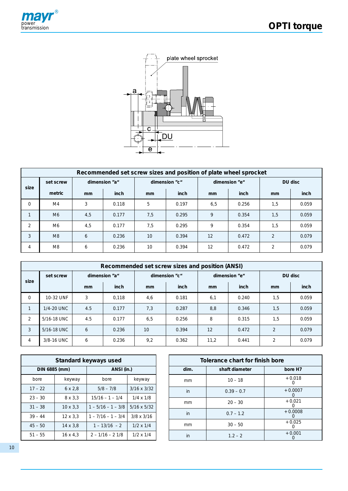



|                | Recommended set screw sizes and position of plate wheel sprocket |     |               |     |               |               |               |                |       |  |
|----------------|------------------------------------------------------------------|-----|---------------|-----|---------------|---------------|---------------|----------------|-------|--|
| size           | set screw                                                        |     | dimension "a" |     | dimension "c" |               | dimension "e" | DU disc        |       |  |
|                | metric                                                           | mm  | inch          | mm  | inch          | <sub>mm</sub> | inch          | <sub>mm</sub>  | inch  |  |
| 0              | M4                                                               | 3   | 0.118         | 5   | 0.197         | 6,5           | 0.256         | 1,5            | 0.059 |  |
| $\mathbf{1}$   | M <sub>6</sub>                                                   | 4,5 | 0.177         | 7,5 | 0.295         | 9             | 0.354         | 1,5            | 0.059 |  |
| $\overline{2}$ | M6                                                               | 4,5 | 0.177         | 7,5 | 0.295         | 9             | 0.354         | 1,5            | 0.059 |  |
| 3              | M8                                                               | 6   | 0.236         | 10  | 0.394         | 12            | 0.472         | 2              | 0.079 |  |
| $\overline{4}$ | M <sub>8</sub>                                                   | 6   | 0.236         | 10  | 0.394         | 12            | 0.472         | $\overline{2}$ | 0.079 |  |

|                | Recommended set screw sizes and position (ANSI) |     |               |     |               |      |               |         |       |  |
|----------------|-------------------------------------------------|-----|---------------|-----|---------------|------|---------------|---------|-------|--|
|                | set screw                                       |     | dimension "a" |     | dimension "c" |      | dimension "e" | DU disc |       |  |
| size           |                                                 | mm  | inch          | mm  | inch          | mm   | inch          | mm      | inch  |  |
| $\mathbf 0$    | 10-32 UNF                                       | 3   | 0.118         | 4,6 | 0.181         | 6,1  | 0.240         | 1,5     | 0.059 |  |
| $\mathbf{1}$   | 1/4-20 UNC                                      | 4.5 | 0.177         | 7,3 | 0.287         | 8,8  | 0.346         | 1,5     | 0.059 |  |
| $\overline{2}$ | 5/16-18 UNC                                     | 4.5 | 0.177         | 6,5 | 0.256         | 8    | 0.315         | 1,5     | 0.059 |  |
| 3              | 5/16-18 UNC                                     | 6   | 0.236         | 10  | 0.394         | 12   | 0.472         | 2       | 0.079 |  |
| 4              | 3/8-16 UNC                                      | 6   | 0.236         | 9,2 | 0.362         | 11,2 | 0.441         | 2       | 0.079 |  |

|               |                 | Standard keyways used                 |                    |  |               | Tolerance chart for finish bore |                       |
|---------------|-----------------|---------------------------------------|--------------------|--|---------------|---------------------------------|-----------------------|
| DIN 6885 (mm) |                 | ANSI (in.)                            |                    |  | dim.          | shaft diameter                  | bore H <sub>7</sub>   |
| bore          | keyway          | bore                                  | keyway             |  | mm            | $10 - 18$                       | $+0.018$<br>0         |
| $17 - 22$     | $6 \times 2.8$  | $5/8 - 7/8$                           | $3/16 \times 3/32$ |  | in            | $0.39 - 0.7$                    | $+0.0007$<br>$\Omega$ |
| $23 - 30$     | $8 \times 3.3$  | $15/16 - 1 - 1/4$                     | $1/4 \times 1/8$   |  | <sub>mm</sub> | $20 - 30$                       | $+0.021$              |
| $31 - 38$     | $10 \times 3.3$ | $1 - 5/16 - 1 - 3/8$                  | $5/16 \times 5/32$ |  |               |                                 | 0                     |
| $39 - 44$     | $12 \times 3.3$ | $1 - 7/16 - 1 - 3/4$                  | $3/8 \times 3/16$  |  | in            | $0.7 - 1.2$                     | $+0.0008$<br>0        |
| $45 - 50$     | $14 \times 3.8$ | $1 - 13/16 - 2$                       | $1/2 \times 1/4$   |  | mm            | $30 - 50$                       | $+0.025$<br>$\Omega$  |
| $51 - 55$     | $16 \times 4.3$ | $1/2 \times 1/4$<br>$2 - 1/16 - 21/8$ |                    |  | in            | $1.2 - 2$                       | $+0.001$<br>0         |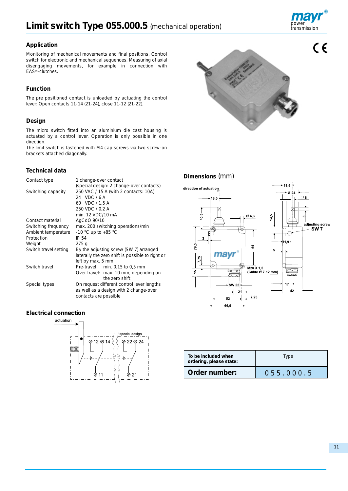

#### **Application**

Monitoring of mechanical movements and final positions. Control switch for electronic and mechanical sequences. Measuring of axial disengaging movements, for example in connection with EAS®-clutches.

#### **Function**

The pre positioned contact is unloaded by actuating the control lever: Open contacts 11-14 (21-24), close 11-12 (21-22).

#### **Design**

The micro switch fitted into an aluminium die cast housing is actuated by a control lever. Operation is only possible in one direction.

The limit switch is fastened with M4 cap screws via two screw-on brackets attached diagonally.

#### **Technical data**

| Contact type          | 1 change-over contact                            |
|-----------------------|--------------------------------------------------|
|                       | (special design: 2 change-over contacts)         |
| Switching capacity    | 250 VAC / 15 A (with 2 contacts: 10A)            |
|                       | 24 VDC/6A                                        |
|                       | 60 VDC / 1,5 A                                   |
|                       | 250 VDC / 0,2 A                                  |
|                       | min. 12 VDC/10 mA                                |
| Contact material      | AgCdO 90/10                                      |
| Switching frequency   | max. 200 switching operations/min                |
| Ambient temperature   | -10 °C up to +85 °C                              |
| Protection            | IP 54                                            |
| Weight                | 275q                                             |
| Switch travel setting | By the adjusting screw (SW 7) arranged           |
|                       | laterally the zero shift is possible to right or |
|                       | left by max. 5 mm                                |
| Switch travel         | Pre-travel min. 0,15 to 0,5 mm                   |
|                       | Over-travel: max. 10 mm, depending on            |
|                       | the zero shift                                   |
| Special types         | On request different control lever lengths       |
|                       | as well as a design with 2 change-over           |
|                       | contacts are possible                            |

#### **Electrical connection**





#### **Dimensions** (mm)



| To be included when<br>ordering, please state: | Type      |  |
|------------------------------------------------|-----------|--|
| Order number:                                  | 055.000.5 |  |